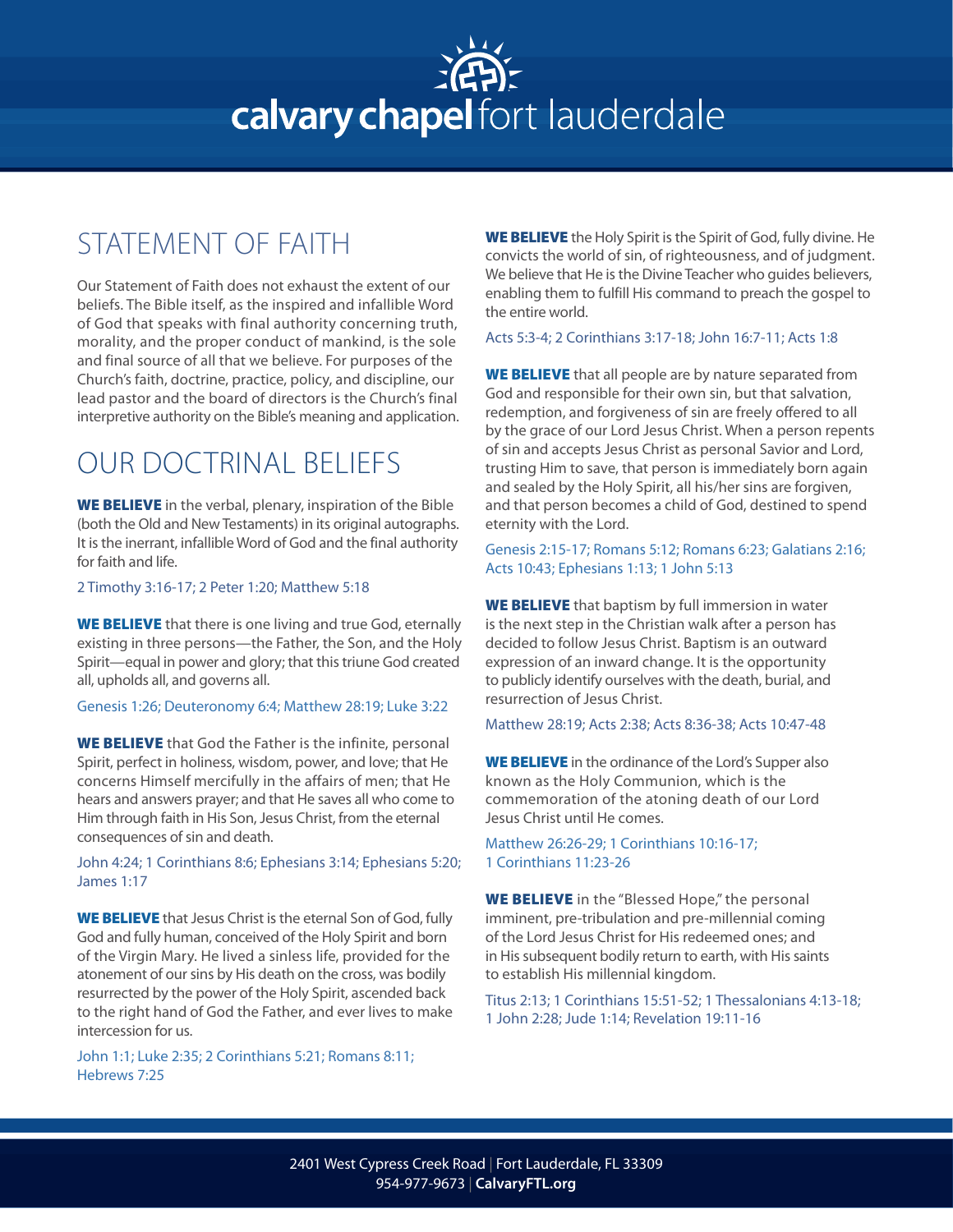## calvary chapel fort lauderdale

## STATEMENT OF FAITH

Our Statement of Faith does not exhaust the extent of our beliefs. The Bible itself, as the inspired and infallible Word of God that speaks with final authority concerning truth, morality, and the proper conduct of mankind, is the sole and final source of all that we believe. For purposes of the Church's faith, doctrine, practice, policy, and discipline, our lead pastor and the board of directors is the Church's final interpretive authority on the Bible's meaning and application.

## OUR DOCTRINAL BELIEFS

WE BELIEVE in the verbal, plenary, inspiration of the Bible (both the Old and New Testaments) in its original autographs. It is the inerrant, infallible Word of God and the final authority for faith and life.

2 Timothy 3:16-17; 2 Peter 1:20; Matthew 5:18

WE BELIEVE that there is one living and true God, eternally existing in three persons—the Father, the Son, and the Holy Spirit—equal in power and glory; that this triune God created all, upholds all, and governs all.

Genesis 1:26; Deuteronomy 6:4; Matthew 28:19; Luke 3:22

WE BELIEVE that God the Father is the infinite, personal Spirit, perfect in holiness, wisdom, power, and love; that He concerns Himself mercifully in the affairs of men; that He hears and answers prayer; and that He saves all who come to Him through faith in His Son, Jesus Christ, from the eternal consequences of sin and death.

John 4:24; 1 Corinthians 8:6; Ephesians 3:14; Ephesians 5:20; James 1:17

WE BELIEVE that Jesus Christ is the eternal Son of God, fully God and fully human, conceived of the Holy Spirit and born of the Virgin Mary. He lived a sinless life, provided for the atonement of our sins by His death on the cross, was bodily resurrected by the power of the Holy Spirit, ascended back to the right hand of God the Father, and ever lives to make intercession for us.

John 1:1; Luke 2:35; 2 Corinthians 5:21; Romans 8:11; Hebrews 7:25

WE BELIEVE the Holy Spirit is the Spirit of God, fully divine. He convicts the world of sin, of righteousness, and of judgment. We believe that He is the Divine Teacher who guides believers, enabling them to fulfill His command to preach the gospel to the entire world.

Acts 5:3-4; 2 Corinthians 3:17-18; John 16:7-11; Acts 1:8

WE BELIEVE that all people are by nature separated from God and responsible for their own sin, but that salvation, redemption, and forgiveness of sin are freely offered to all by the grace of our Lord Jesus Christ. When a person repents of sin and accepts Jesus Christ as personal Savior and Lord, trusting Him to save, that person is immediately born again and sealed by the Holy Spirit, all his/her sins are forgiven, and that person becomes a child of God, destined to spend eternity with the Lord.

Genesis 2:15-17; Romans 5:12; Romans 6:23; Galatians 2:16; Acts 10:43; Ephesians 1:13; 1 John 5:13

WE BELIEVE that baptism by full immersion in water is the next step in the Christian walk after a person has decided to follow Jesus Christ. Baptism is an outward expression of an inward change. It is the opportunity to publicly identify ourselves with the death, burial, and resurrection of Jesus Christ.

Matthew 28:19; Acts 2:38; Acts 8:36-38; Acts 10:47-48

WE BELIEVE in the ordinance of the Lord's Supper also known as the Holy Communion, which is the commemoration of the atoning death of our Lord Jesus Christ until He comes.

Matthew 26:26-29; 1 Corinthians 10:16-17; 1 Corinthians 11:23-26

WE BELIEVE in the "Blessed Hope," the personal imminent, pre-tribulation and pre-millennial coming of the Lord Jesus Christ for His redeemed ones; and in His subsequent bodily return to earth, with His saints to establish His millennial kingdom.

Titus 2:13; 1 Corinthians 15:51-52; 1 Thessalonians 4:13-18; 1 John 2:28; Jude 1:14; Revelation 19:11-16